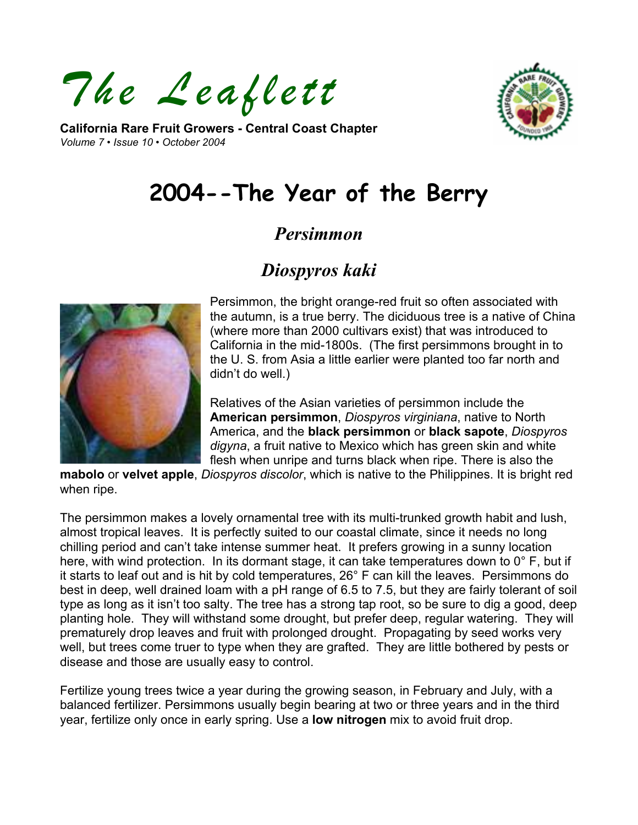*The Leaflett* 

**California Rare Fruit Growers - Central Coast Chapter**  *Volume 7 • Issue 10 • October 2004* 



# **2004--The Year of the Berry**

# *Persimmon*

# *Diospyros kaki*



Persimmon, the bright orange-red fruit so often associated with the autumn, is a true berry. The diciduous tree is a native of China (where more than 2000 cultivars exist) that was introduced to California in the mid-1800s. (The first persimmons brought in to the U. S. from Asia a little earlier were planted too far north and didn't do well.)

Relatives of the Asian varieties of persimmon include the **American persimmon**, *Diospyros virginiana*, native to North America, and the **black persimmon** or **black sapote**, *Diospyros digyna*, a fruit native to Mexico which has green skin and white flesh when unripe and turns black when ripe. There is also the

**mabolo** or **velvet apple**, *Diospyros discolor*, which is native to the Philippines. It is bright red when ripe.

The persimmon makes a lovely ornamental tree with its multi-trunked growth habit and lush, almost tropical leaves. It is perfectly suited to our coastal climate, since it needs no long chilling period and can't take intense summer heat. It prefers growing in a sunny location here, with wind protection. In its dormant stage, it can take temperatures down to 0° F, but if it starts to leaf out and is hit by cold temperatures, 26° F can kill the leaves. Persimmons do best in deep, well drained loam with a pH range of 6.5 to 7.5, but they are fairly tolerant of soil type as long as it isn't too salty. The tree has a strong tap root, so be sure to dig a good, deep planting hole. They will withstand some drought, but prefer deep, regular watering. They will prematurely drop leaves and fruit with prolonged drought. Propagating by seed works very well, but trees come truer to type when they are grafted. They are little bothered by pests or disease and those are usually easy to control.

Fertilize young trees twice a year during the growing season, in February and July, with a balanced fertilizer. Persimmons usually begin bearing at two or three years and in the third year, fertilize only once in early spring. Use a **low nitrogen** mix to avoid fruit drop.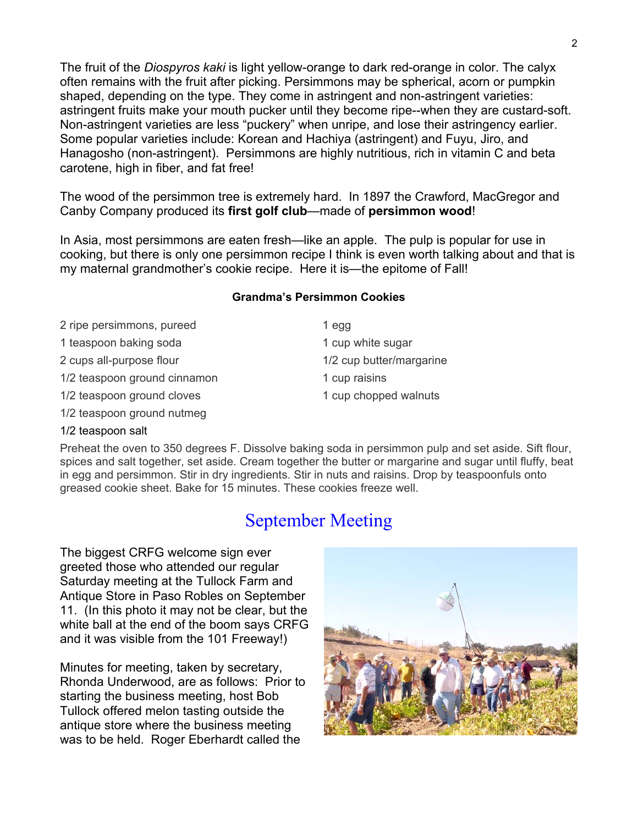The fruit of the *Diospyros kaki* is light yellow-orange to dark red-orange in color. The calyx often remains with the fruit after picking. Persimmons may be spherical, acorn or pumpkin shaped, depending on the type. They come in astringent and non-astringent varieties: astringent fruits make your mouth pucker until they become ripe--when they are custard-soft. Non-astringent varieties are less "puckery" when unripe, and lose their astringency earlier. Some popular varieties include: Korean and Hachiya (astringent) and Fuyu, Jiro, and Hanagosho (non-astringent). Persimmons are highly nutritious, rich in vitamin C and beta carotene, high in fiber, and fat free!

The wood of the persimmon tree is extremely hard. In 1897 the Crawford, MacGregor and Canby Company produced its **first golf club**—made of **persimmon wood**!

In Asia, most persimmons are eaten fresh—like an apple. The pulp is popular for use in cooking, but there is only one persimmon recipe I think is even worth talking about and that is my maternal grandmother's cookie recipe. Here it is—the epitome of Fall!

### **Grandma's Persimmon Cookies**

- 2 ripe persimmons, pureed 1 egg
- 1 teaspoon baking soda 1 cup white sugar
- 
- 1/2 teaspoon ground cinnamon 1 cup raisins
- 1/2 teaspoon ground cloves 1 cup chopped walnuts
- 1/2 teaspoon ground nutmeg
- 2 cups all-purpose flour 1/2 cup butter/margarine

### 1/2 teaspoon salt

Preheat the oven to 350 degrees F. Dissolve baking soda in persimmon pulp and set aside. Sift flour, spices and salt together, set aside. Cream together the butter or margarine and sugar until fluffy, beat in egg and persimmon. Stir in dry ingredients. Stir in nuts and raisins. Drop by teaspoonfuls onto greased cookie sheet. Bake for 15 minutes. These cookies freeze well.

# September Meeting

The biggest CRFG welcome sign ever greeted those who attended our regular Saturday meeting at the Tullock Farm and Antique Store in Paso Robles on September 11. (In this photo it may not be clear, but the white ball at the end of the boom says CRFG and it was visible from the 101 Freeway!)

Minutes for meeting, taken by secretary, Rhonda Underwood, are as follows: Prior to starting the business meeting, host Bob Tullock offered melon tasting outside the antique store where the business meeting was to be held. Roger Eberhardt called the

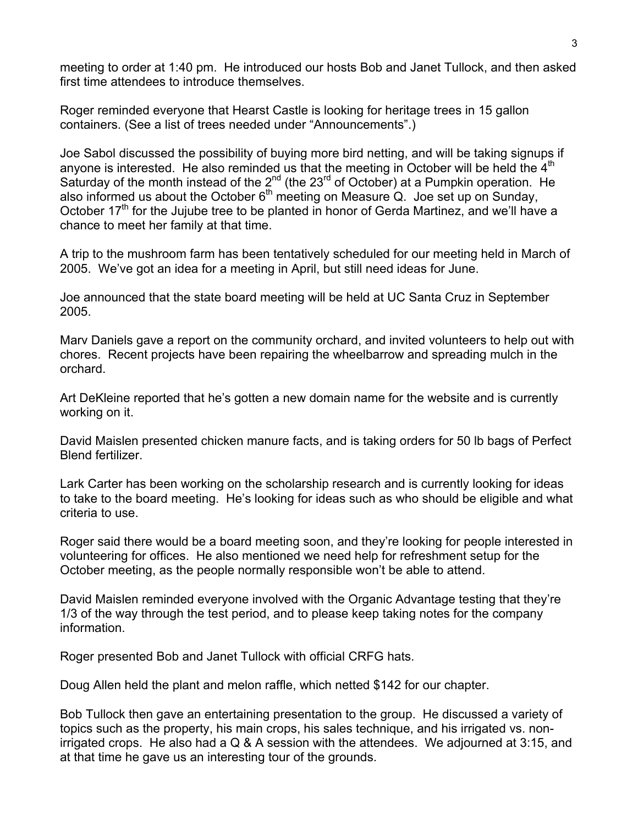meeting to order at 1:40 pm. He introduced our hosts Bob and Janet Tullock, and then asked first time attendees to introduce themselves.

Roger reminded everyone that Hearst Castle is looking for heritage trees in 15 gallon containers. (See a list of trees needed under "Announcements".)

Joe Sabol discussed the possibility of buying more bird netting, and will be taking signups if anyone is interested. He also reminded us that the meeting in October will be held the  $4<sup>th</sup>$ Saturday of the month instead of the  $2^{nd}$  (the  $23^{rd}$  of October) at a Pumpkin operation. He also informed us about the October  $6<sup>th</sup>$  meeting on Measure Q. Joe set up on Sunday, October  $17<sup>th</sup>$  for the Jujube tree to be planted in honor of Gerda Martinez, and we'll have a chance to meet her family at that time.

A trip to the mushroom farm has been tentatively scheduled for our meeting held in March of 2005. We've got an idea for a meeting in April, but still need ideas for June.

Joe announced that the state board meeting will be held at UC Santa Cruz in September 2005.

Marv Daniels gave a report on the community orchard, and invited volunteers to help out with chores. Recent projects have been repairing the wheelbarrow and spreading mulch in the orchard.

Art DeKleine reported that he's gotten a new domain name for the website and is currently working on it.

David Maislen presented chicken manure facts, and is taking orders for 50 lb bags of Perfect Blend fertilizer.

Lark Carter has been working on the scholarship research and is currently looking for ideas to take to the board meeting. He's looking for ideas such as who should be eligible and what criteria to use.

Roger said there would be a board meeting soon, and they're looking for people interested in volunteering for offices. He also mentioned we need help for refreshment setup for the October meeting, as the people normally responsible won't be able to attend.

David Maislen reminded everyone involved with the Organic Advantage testing that they're 1/3 of the way through the test period, and to please keep taking notes for the company information.

Roger presented Bob and Janet Tullock with official CRFG hats.

Doug Allen held the plant and melon raffle, which netted \$142 for our chapter.

Bob Tullock then gave an entertaining presentation to the group. He discussed a variety of topics such as the property, his main crops, his sales technique, and his irrigated vs. nonirrigated crops. He also had a Q & A session with the attendees. We adjourned at 3:15, and at that time he gave us an interesting tour of the grounds.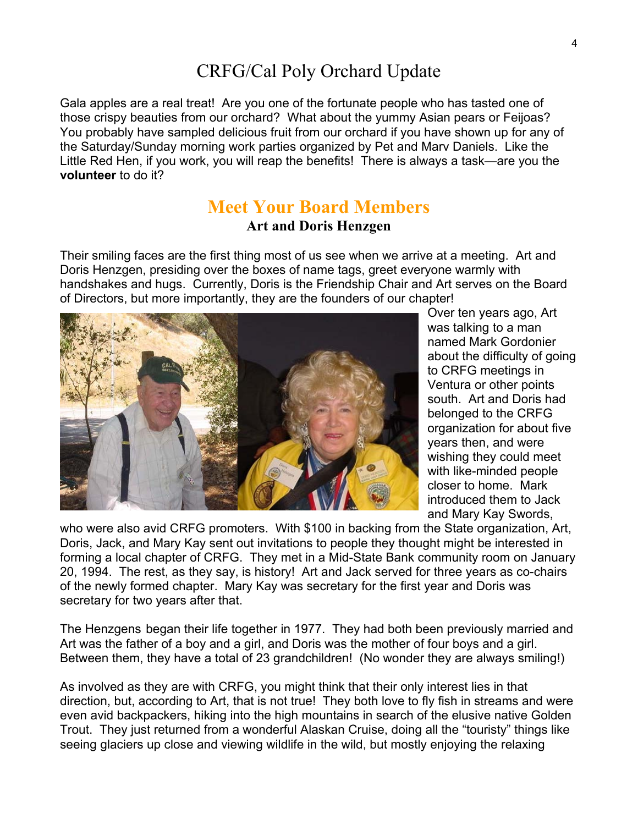# CRFG/Cal Poly Orchard Update

Gala apples are a real treat! Are you one of the fortunate people who has tasted one of those crispy beauties from our orchard? What about the yummy Asian pears or Feijoas? You probably have sampled delicious fruit from our orchard if you have shown up for any of the Saturday/Sunday morning work parties organized by Pet and Marv Daniels. Like the Little Red Hen, if you work, you will reap the benefits! There is always a task—are you the **volunteer** to do it?

## **Meet Your Board Members Art and Doris Henzgen**

Their smiling faces are the first thing most of us see when we arrive at a meeting. Art and Doris Henzgen, presiding over the boxes of name tags, greet everyone warmly with handshakes and hugs. Currently, Doris is the Friendship Chair and Art serves on the Board of Directors, but more importantly, they are the founders of our chapter!



Over ten years ago, Art was talking to a man named Mark Gordonier about the difficulty of going to CRFG meetings in Ventura or other points south. Art and Doris had belonged to the CRFG organization for about five years then, and were wishing they could meet with like-minded people closer to home. Mark introduced them to Jack and Mary Kay Swords,

who were also avid CRFG promoters. With \$100 in backing from the State organization, Art, Doris, Jack, and Mary Kay sent out invitations to people they thought might be interested in forming a local chapter of CRFG. They met in a Mid-State Bank community room on January 20, 1994. The rest, as they say, is history! Art and Jack served for three years as co-chairs of the newly formed chapter. Mary Kay was secretary for the first year and Doris was secretary for two years after that.

The Henzgens began their life together in 1977. They had both been previously married and Art was the father of a boy and a girl, and Doris was the mother of four boys and a girl. Between them, they have a total of 23 grandchildren! (No wonder they are always smiling!)

As involved as they are with CRFG, you might think that their only interest lies in that direction, but, according to Art, that is not true! They both love to fly fish in streams and were even avid backpackers, hiking into the high mountains in search of the elusive native Golden Trout. They just returned from a wonderful Alaskan Cruise, doing all the "touristy" things like seeing glaciers up close and viewing wildlife in the wild, but mostly enjoying the relaxing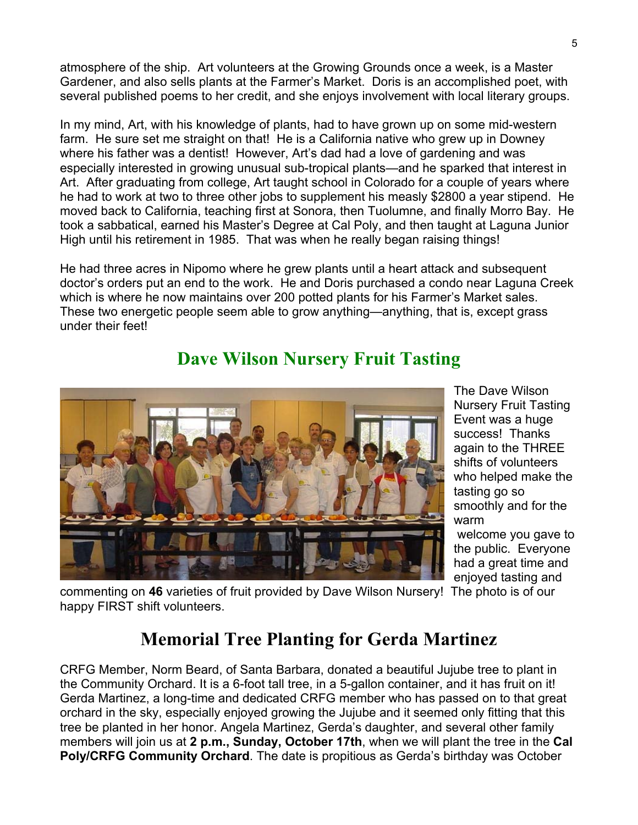atmosphere of the ship. Art volunteers at the Growing Grounds once a week, is a Master Gardener, and also sells plants at the Farmer's Market. Doris is an accomplished poet, with several published poems to her credit, and she enjoys involvement with local literary groups.

In my mind, Art, with his knowledge of plants, had to have grown up on some mid-western farm. He sure set me straight on that! He is a California native who grew up in Downey where his father was a dentist! However, Art's dad had a love of gardening and was especially interested in growing unusual sub-tropical plants—and he sparked that interest in Art. After graduating from college, Art taught school in Colorado for a couple of years where he had to work at two to three other jobs to supplement his measly \$2800 a year stipend. He moved back to California, teaching first at Sonora, then Tuolumne, and finally Morro Bay. He took a sabbatical, earned his Master's Degree at Cal Poly, and then taught at Laguna Junior High until his retirement in 1985. That was when he really began raising things!

He had three acres in Nipomo where he grew plants until a heart attack and subsequent doctor's orders put an end to the work. He and Doris purchased a condo near Laguna Creek which is where he now maintains over 200 potted plants for his Farmer's Market sales. These two energetic people seem able to grow anything—anything, that is, except grass under their feet!



**Dave Wilson Nursery Fruit Tasting** 

The Dave Wilson Nursery Fruit Tasting Event was a huge success! Thanks again to the THREE shifts of volunteers who helped make the tasting go so smoothly and for the warm welcome you gave to

the public. Everyone had a great time and enjoyed tasting and

commenting on **46** varieties of fruit provided by Dave Wilson Nursery! The photo is of our happy FIRST shift volunteers.

# **Memorial Tree Planting for Gerda Martinez**

CRFG Member, Norm Beard, of Santa Barbara, donated a beautiful Jujube tree to plant in the Community Orchard. It is a 6-foot tall tree, in a 5-gallon container, and it has fruit on it! Gerda Martinez, a long-time and dedicated CRFG member who has passed on to that great orchard in the sky, especially enjoyed growing the Jujube and it seemed only fitting that this tree be planted in her honor. Angela Martinez, Gerda's daughter, and several other family members will join us at **2 p.m., Sunday, October 17th**, when we will plant the tree in the **Cal Poly/CRFG Community Orchard**. The date is propitious as Gerda's birthday was October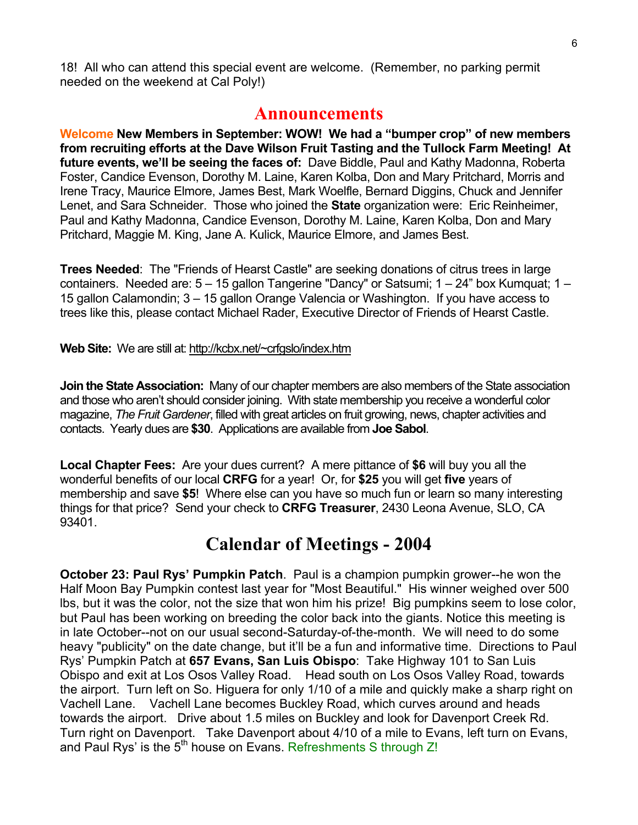18! All who can attend this special event are welcome. (Remember, no parking permit needed on the weekend at Cal Poly!)

## **Announcements**

**Welcome New Members in September: WOW! We had a "bumper crop" of new members from recruiting efforts at the Dave Wilson Fruit Tasting and the Tullock Farm Meeting! At future events, we'll be seeing the faces of:** Dave Biddle, Paul and Kathy Madonna, Roberta Foster, Candice Evenson, Dorothy M. Laine, Karen Kolba, Don and Mary Pritchard, Morris and Irene Tracy, Maurice Elmore, James Best, Mark Woelfle, Bernard Diggins, Chuck and Jennifer Lenet, and Sara Schneider. Those who joined the **State** organization were: Eric Reinheimer, Paul and Kathy Madonna, Candice Evenson, Dorothy M. Laine, Karen Kolba, Don and Mary Pritchard, Maggie M. King, Jane A. Kulick, Maurice Elmore, and James Best.

**Trees Needed**: The "Friends of Hearst Castle" are seeking donations of citrus trees in large containers. Needed are: 5 – 15 gallon Tangerine "Dancy" or Satsumi; 1 – 24" box Kumquat; 1 – 15 gallon Calamondin; 3 – 15 gallon Orange Valencia or Washington. If you have access to trees like this, please contact Michael Rader, Executive Director of Friends of Hearst Castle.

#### Web Site: We are still at:<http://kcbx.net/~crfgslo/index.htm>

**Join the State Association:** Many of our chapter members are also members of the State association and those who aren't should consider joining. With state membership you receive a wonderful color magazine, *The Fruit Gardener*, filled with great articles on fruit growing, news, chapter activities and contacts. Yearly dues are **\$30**. Applications are available from **Joe Sabol**.

**Local Chapter Fees:** Are your dues current?A mere pittance of **\$6** will buy you all the wonderful benefits of our local **CRFG** for a year! Or, for **\$25** you will get **five** years of membership and save **\$5**! Where else can you have so much fun or learn so many interesting things for that price? Send your check to **CRFG Treasurer**, 2430 Leona Avenue, SLO, CA 93401.

## **Calendar of Meetings - 2004**

**October 23: Paul Rys' Pumpkin Patch**. Paul is a champion pumpkin grower--he won the Half Moon Bay Pumpkin contest last year for "Most Beautiful." His winner weighed over 500 lbs, but it was the color, not the size that won him his prize! Big pumpkins seem to lose color, but Paul has been working on breeding the color back into the giants. Notice this meeting is in late October--not on our usual second-Saturday-of-the-month. We will need to do some heavy "publicity" on the date change, but it'll be a fun and informative time. Directions to Paul Rys' Pumpkin Patch at **657 Evans, San Luis Obispo**: Take Highway 101 to San Luis Obispo and exit at Los Osos Valley Road. Head south on Los Osos Valley Road, towards the airport. Turn left on So. Higuera for only 1/10 of a mile and quickly make a sharp right on Vachell Lane. Vachell Lane becomes Buckley Road, which curves around and heads towards the airport. Drive about 1.5 miles on Buckley and look for Davenport Creek Rd. Turn right on Davenport. Take Davenport about 4/10 of a mile to Evans, left turn on Evans, and Paul Rys' is the  $5<sup>th</sup>$  house on Evans. Refreshments S through Z!